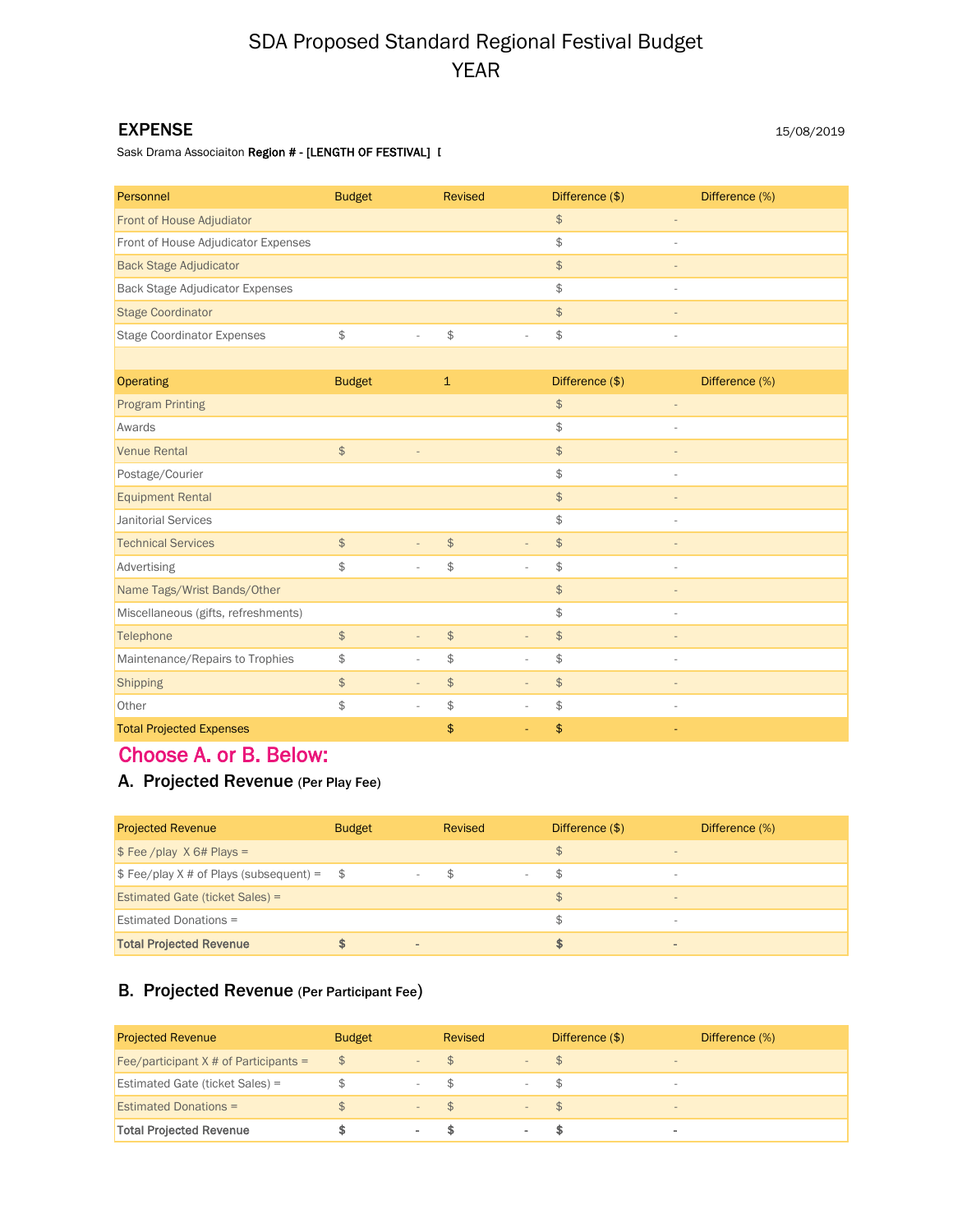# SDA Proposed Standard Regional Festival Budget YEAR

#### EXPENSE

Sask Drama Associaiton Region # - [LENGTH OF FESTIVAL] I

| Personnel                              | <b>Budget</b>                                                                 | <b>Revised</b>                                                            | Difference (\$) | Difference (%) |
|----------------------------------------|-------------------------------------------------------------------------------|---------------------------------------------------------------------------|-----------------|----------------|
| Front of House Adjudiator              |                                                                               |                                                                           | $$\mathsf{S}$$  |                |
| Front of House Adjudicator Expenses    |                                                                               |                                                                           | \$              |                |
| <b>Back Stage Adjudicator</b>          |                                                                               |                                                                           | $\frac{1}{2}$   |                |
| <b>Back Stage Adjudicator Expenses</b> |                                                                               |                                                                           | \$              |                |
| <b>Stage Coordinator</b>               |                                                                               |                                                                           | $\frac{1}{2}$   |                |
| <b>Stage Coordinator Expenses</b>      | $\, \, \raisebox{-1.5pt}{\text{\circle*{1.5}}}\,$<br>$\overline{\phantom{a}}$ | \$<br>ä,                                                                  | \$              | ÷,             |
|                                        |                                                                               |                                                                           |                 |                |
| <b>Operating</b>                       | <b>Budget</b>                                                                 | $\mathbf{1}$                                                              | Difference (\$) | Difference (%) |
| <b>Program Printing</b>                |                                                                               |                                                                           | $$\mathsf{D}$   |                |
| Awards                                 |                                                                               |                                                                           | \$              |                |
| <b>Venue Rental</b>                    | $$\mathfrak{F}$$                                                              |                                                                           | $\frac{1}{2}$   |                |
| Postage/Courier                        |                                                                               |                                                                           | \$              |                |
| <b>Equipment Rental</b>                |                                                                               |                                                                           | $$\mathsf{S}$$  |                |
| <b>Janitorial Services</b>             |                                                                               |                                                                           | \$              | ÷,             |
| <b>Technical Services</b>              | $$\mathfrak{F}$$<br>$\overline{\phantom{a}}$                                  | $\, \, \raisebox{12pt}{$\scriptstyle \circ$}$<br>$\overline{\phantom{a}}$ | $\frac{1}{2}$   | $\overline{a}$ |
| Advertising                            | \$                                                                            | \$<br>ä,                                                                  | \$              | ä,             |
| Name Tags/Wrist Bands/Other            |                                                                               |                                                                           | $\frac{1}{2}$   |                |
| Miscellaneous (gifts, refreshments)    |                                                                               |                                                                           | \$              | $\bar{a}$      |
| Telephone                              | $$\mathfrak{F}$$<br>$\equiv$                                                  | $\spadesuit$<br>$\overline{a}$                                            | $\frac{1}{2}$   |                |
| Maintenance/Repairs to Trophies        | \$                                                                            | \$<br>L.                                                                  | \$              | ÷,             |
| <b>Shipping</b>                        | $$\mathsf{S}$$<br>$\overline{\phantom{a}}$                                    | $$\mathsf{D}$$<br>$\overline{\phantom{a}}$                                | $$\mathsf{S}$$  |                |
| Other                                  | $$\mathfrak{S}$$<br>$\overline{\phantom{a}}$                                  | \$<br>$\overline{\phantom{a}}$                                            | \$              | $\bar{a}$      |
| <b>Total Projected Expenses</b>        |                                                                               | \$                                                                        | \$              |                |

## Choose A. or B. Below:

### A. Projected Revenue (Per Play Fee)

| <b>Projected Revenue</b>                                         | <b>Budget</b>  | Revised | Difference (\$)                            | Difference (%) |
|------------------------------------------------------------------|----------------|---------|--------------------------------------------|----------------|
| $\frac{1}{2}$ Fee /play X 6# Plays =                             |                |         |                                            |                |
| $\frac{1}{2}$ Fee/play X # of Plays (subsequent) = $\frac{1}{2}$ |                | S       | ۰                                          |                |
| <b>Estimated Gate (ticket Sales) =</b>                           |                |         | $\mathfrak{L}$<br>$\overline{\phantom{a}}$ |                |
| <b>Estimated Donations =</b>                                     |                |         |                                            |                |
| <b>Total Projected Revenue</b>                                   | $\blacksquare$ |         | $\overline{\phantom{a}}$                   |                |

### B. Projected Revenue (Per Participant Fee)

| <b>Projected Revenue</b>                 | <b>Budget</b> |                   | Revised |                          | Difference (\$) |        | Difference (%) |
|------------------------------------------|---------------|-------------------|---------|--------------------------|-----------------|--------|----------------|
| Fee/participant $X \#$ of Participants = | $\mathcal{F}$ |                   | P       |                          |                 | $\sim$ |                |
| <b>Estimated Gate (ticket Sales) =</b>   |               |                   |         |                          |                 | -      |                |
| <b>Estimated Donations =</b>             |               | $\qquad \qquad -$ | $-5$    | $\overline{\phantom{m}}$ | $\mathcal{P}$   | $\sim$ |                |
| <b>Total Projected Revenue</b>           |               |                   |         |                          |                 | $\sim$ |                |

15/08/2019